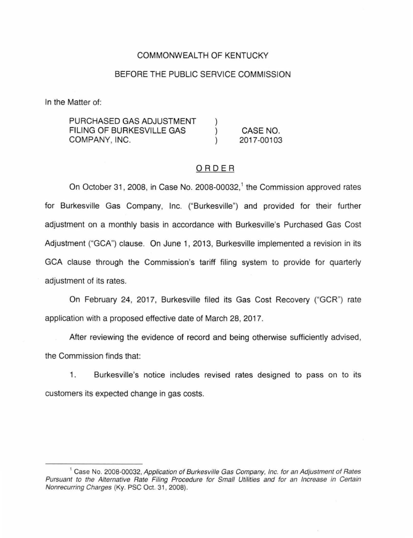## COMMONWEALTH OF KENTUCKY

## BEFORE THE PUBLIC SERVICE COMMISSION

In the Matter of:

PURCHASED GAS ADJUSTMENT FILING OF BURKESVILLE GAS  $\mathcal{E}$ CASE NO. COMPANY, INC. 2017-00103

### ORDER

On October 31, 2008, in Case No. 2008-00032,<sup>1</sup> the Commission approved rates for Burkesville Gas Company, Inc. ("Burkesville") and provided for their further adjustment on a monthly basis in accordance with Burkesville's Purchased Gas Cost Adjustment ("GCA") clause. On June 1, 2013, Burkesville implemented a revision in its GCA clause through the Commission's tariff filing system to provide for quarterly adjustment of its rates.

On February 24, 2017, Burkesville filed its Gas Cost Recovery ("GCR") rate application with a proposed effective date of March 28, 2017.

After reviewing the evidence of record and being otherwise sufficiently advised, the Commission finds that:

1. Burkesville's notice includes revised rates designed to pass on to its customers its expected change in gas costs.

<sup>&</sup>lt;sup>1</sup> Case No. 2008-00032, Application of Burkesville Gas Company, Inc. for an Adjustment of Rates Pursuant to the Alternative Rate Filing Procedure for Small Utilities and for an Increase in Certain Nonrecurring Charges (Ky. PSC Oct. 31 , 2008).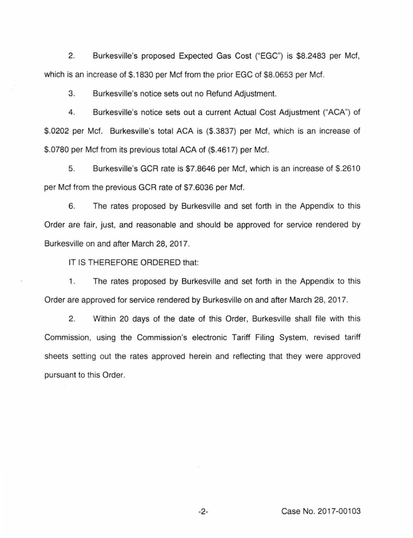2. Burkesville's proposed Expected Gas Cost ("EGC") is \$8.2483 per Mcf, which is an increase of \$.1830 per Mcf from the prior EGC of \$8.0653 per Mcf.

3. Burkesville's notice sets out no Refund Adjustment.

4. Burkesville's notice sets out a current Actual Cost Adjustment ("ACA") of \$.0202 per Mcf. Burkesville's total ACA is (\$.3837) per Mcf, which is an increase of \$.0780 per Mcf from its previous total ACA of (\$.4617) per Mcf.

5. Burkesville's GCR rate is \$7.8646 per Mcf, which is an increase of \$.2610 per Mcf from the previous GCR rate of \$7.6036 per Mcf.

6. The rates proposed by Burkesville and set forth in the Appendix to this Order are fair, just, and reasonable and should be approved for service rendered by Burkesville on and after March 28, 2017.

IT IS THEREFORE ORDERED that:

1. The rates proposed by Burkesville and set forth in the Appendix to this Order are approved for service rendered by Burkesville on and after March 28, 2017.

2. Within 20 days of the date of this Order, Burkesville shall file with this Commission, using the Commission's electronic Tariff Filing System, revised tariff sheets setting out the rates approved herein and reflecting that they were approved pursuant to this Order.

-2- Case No. 2017-00103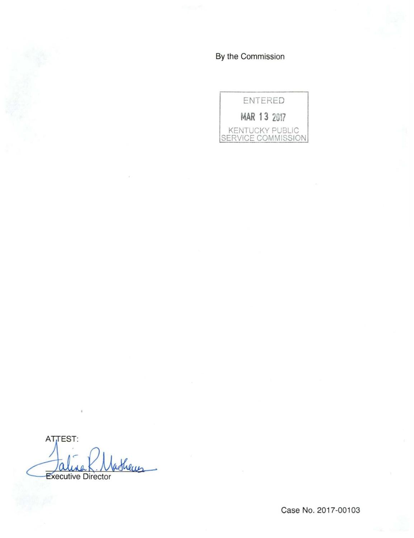By the Commission



ATTEST: atheus Executive Director

Case No. 2017-00103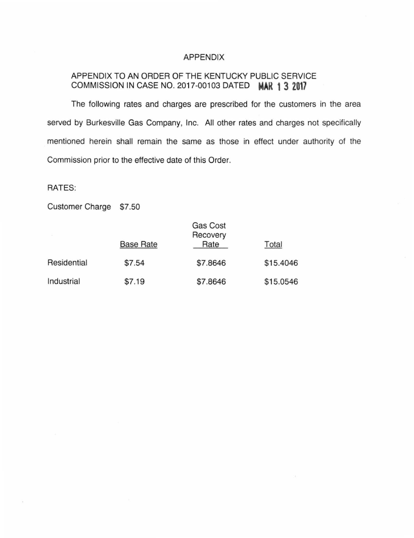#### APPENDIX

# APPENDIX TO AN ORDER OF THE KENTUCKY PUBLIC SERVICE COMMISSION IN CASE NO. 2017-00103 DATED **MAR 1 3 2017**

The following rates and charges are prescribed for the customers in the area served by Burkesville Gas Company, Inc. All other rates and charges not specifically mentioned herein shall remain the same as those in effect under authority of the Commission prior to the effective date of this Order.

RATES:

Customer Charge \$7.50

|             | <b>Base Rate</b> | Gas Cost<br>Recovery<br>Rate | Total     |
|-------------|------------------|------------------------------|-----------|
| Residential | \$7.54           | \$7.8646                     | \$15.4046 |
| Industrial  | \$7.19           | \$7.8646                     | \$15.0546 |